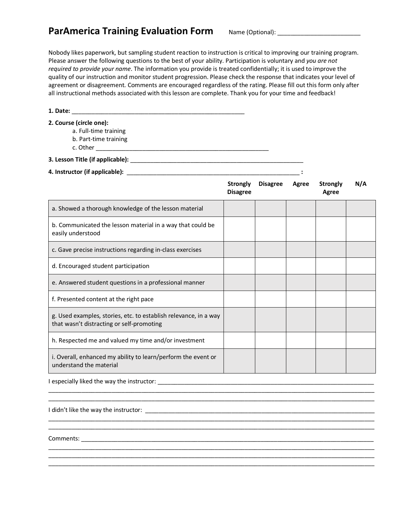## ParAmerica Training Evaluation Form Name (Optional): \_\_\_\_\_\_\_\_\_\_\_\_\_\_\_\_\_\_\_\_\_\_\_\_\_\_\_

Nobody likes paperwork, but sampling student reaction to instruction is critical to improving our training program. Please answer the following questions to the best of your ability. Participation is voluntary and *you are not required to provide your name*. The information you provide is treated confidentially; it is used to improve the quality of our instruction and monitor student progression. Please check the response that indicates your level of agreement or disagreement. Comments are encouraged regardless of the rating. Please fill out this form only after all instructional methods associated with this lesson are complete. Thank you for your time and feedback!

**1. Date:** \_\_\_\_\_\_\_\_\_\_\_\_\_\_\_\_\_\_\_\_\_\_\_\_\_\_\_\_\_\_\_\_\_\_\_\_\_\_\_\_\_\_\_\_\_\_\_\_\_\_\_\_

- **2. Course (circle one):**
	- a. Full-time training
	- b. Part-time training
	- c. Other \_\_\_\_\_\_\_\_\_\_\_\_\_\_\_\_\_\_\_\_\_\_\_\_\_\_\_\_\_\_\_\_\_\_\_\_\_\_\_\_\_\_\_\_\_\_\_\_\_\_\_\_

**3. Lesson Title (if applicable):** \_\_\_\_\_\_\_\_\_\_\_\_\_\_\_\_\_\_\_\_\_\_\_\_\_\_\_\_\_\_\_\_\_\_\_\_\_\_\_\_\_\_\_\_\_\_\_\_\_\_\_\_

**4. Instructor (if applicable):** \_\_\_\_\_\_\_\_\_\_\_\_\_\_\_\_\_\_\_\_\_\_\_\_\_\_\_\_\_\_\_\_\_\_\_\_\_\_\_\_\_\_\_\_\_\_\_\_\_\_\_\_ **:**

|                                                                                                               | <b>Strongly</b><br><b>Disagree</b> | <b>Disagree</b> | Agree | <b>Strongly</b><br>Agree | N/A |
|---------------------------------------------------------------------------------------------------------------|------------------------------------|-----------------|-------|--------------------------|-----|
| a. Showed a thorough knowledge of the lesson material                                                         |                                    |                 |       |                          |     |
| b. Communicated the lesson material in a way that could be<br>easily understood                               |                                    |                 |       |                          |     |
| c. Gave precise instructions regarding in-class exercises                                                     |                                    |                 |       |                          |     |
| d. Encouraged student participation                                                                           |                                    |                 |       |                          |     |
| e. Answered student questions in a professional manner                                                        |                                    |                 |       |                          |     |
| f. Presented content at the right pace                                                                        |                                    |                 |       |                          |     |
| g. Used examples, stories, etc. to establish relevance, in a way<br>that wasn't distracting or self-promoting |                                    |                 |       |                          |     |
| h. Respected me and valued my time and/or investment                                                          |                                    |                 |       |                          |     |
| i. Overall, enhanced my ability to learn/perform the event or<br>understand the material                      |                                    |                 |       |                          |     |

 $\mathcal{L}_\mathcal{L} = \{ \mathcal{L}_\mathcal{L} = \{ \mathcal{L}_\mathcal{L} = \{ \mathcal{L}_\mathcal{L} = \{ \mathcal{L}_\mathcal{L} = \{ \mathcal{L}_\mathcal{L} = \{ \mathcal{L}_\mathcal{L} = \{ \mathcal{L}_\mathcal{L} = \{ \mathcal{L}_\mathcal{L} = \{ \mathcal{L}_\mathcal{L} = \{ \mathcal{L}_\mathcal{L} = \{ \mathcal{L}_\mathcal{L} = \{ \mathcal{L}_\mathcal{L} = \{ \mathcal{L}_\mathcal{L} = \{ \mathcal{L}_\mathcal{$ 

\_\_\_\_\_\_\_\_\_\_\_\_\_\_\_\_\_\_\_\_\_\_\_\_\_\_\_\_\_\_\_\_\_\_\_\_\_\_\_\_\_\_\_\_\_\_\_\_\_\_\_\_\_\_\_\_\_\_\_\_\_\_\_\_\_\_\_\_\_\_\_\_\_\_\_\_\_\_\_\_\_\_\_\_\_\_\_\_\_\_\_\_\_\_\_\_\_\_

\_\_\_\_\_\_\_\_\_\_\_\_\_\_\_\_\_\_\_\_\_\_\_\_\_\_\_\_\_\_\_\_\_\_\_\_\_\_\_\_\_\_\_\_\_\_\_\_\_\_\_\_\_\_\_\_\_\_\_\_\_\_\_\_\_\_\_\_\_\_\_\_\_\_\_\_\_\_\_\_\_\_\_\_\_\_\_\_\_\_\_\_\_\_\_\_\_\_

\_\_\_\_\_\_\_\_\_\_\_\_\_\_\_\_\_\_\_\_\_\_\_\_\_\_\_\_\_\_\_\_\_\_\_\_\_\_\_\_\_\_\_\_\_\_\_\_\_\_\_\_\_\_\_\_\_\_\_\_\_\_\_\_\_\_\_\_\_\_\_\_\_\_\_\_\_\_\_\_\_\_\_\_\_\_\_\_\_\_\_\_\_\_\_\_\_\_ \_\_\_\_\_\_\_\_\_\_\_\_\_\_\_\_\_\_\_\_\_\_\_\_\_\_\_\_\_\_\_\_\_\_\_\_\_\_\_\_\_\_\_\_\_\_\_\_\_\_\_\_\_\_\_\_\_\_\_\_\_\_\_\_\_\_\_\_\_\_\_\_\_\_\_\_\_\_\_\_\_\_\_\_\_\_\_\_\_\_\_\_\_\_\_\_\_\_ \_\_\_\_\_\_\_\_\_\_\_\_\_\_\_\_\_\_\_\_\_\_\_\_\_\_\_\_\_\_\_\_\_\_\_\_\_\_\_\_\_\_\_\_\_\_\_\_\_\_\_\_\_\_\_\_\_\_\_\_\_\_\_\_\_\_\_\_\_\_\_\_\_\_\_\_\_\_\_\_\_\_\_\_\_\_\_\_\_\_\_\_\_\_\_\_\_\_

I especially liked the way the instructor: \_\_\_\_\_\_\_\_\_\_\_\_\_\_\_\_\_\_\_\_\_\_\_\_\_\_\_\_\_\_\_\_\_\_\_\_\_\_\_\_\_\_\_\_\_\_\_\_\_\_\_\_\_\_\_\_\_\_\_\_\_\_\_\_\_

I didn't like the way the instructor: \_\_\_\_\_\_\_\_\_\_\_\_\_\_\_\_\_\_\_\_\_\_\_\_\_\_\_\_\_\_\_\_\_\_\_\_\_\_\_\_\_\_\_\_\_\_\_\_\_\_\_\_\_\_\_\_\_\_\_\_\_\_\_\_\_\_\_\_\_

Comments: \_\_\_\_\_\_\_\_\_\_\_\_\_\_\_\_\_\_\_\_\_\_\_\_\_\_\_\_\_\_\_\_\_\_\_\_\_\_\_\_\_\_\_\_\_\_\_\_\_\_\_\_\_\_\_\_\_\_\_\_\_\_\_\_\_\_\_\_\_\_\_\_\_\_\_\_\_\_\_\_\_\_\_\_\_\_\_\_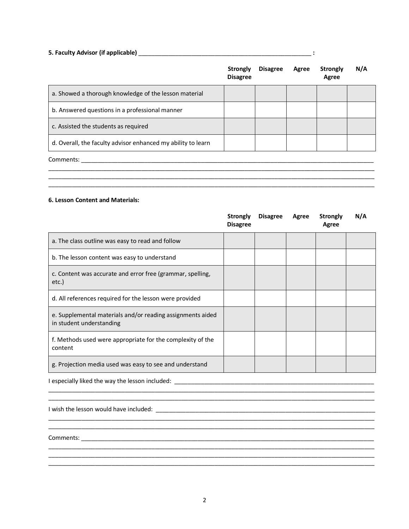## **5. Faculty Advisor (if applicable)** \_\_\_\_\_\_\_\_\_\_\_\_\_\_\_\_\_\_\_\_\_\_\_\_\_\_\_\_\_\_\_\_\_\_\_\_\_\_\_\_\_\_\_\_\_\_\_\_\_\_\_\_ **:**

| Strongly<br><b>Disagree</b> | <b>Disagree</b> | Agree | Strongly<br>Agree | N/A |
|-----------------------------|-----------------|-------|-------------------|-----|
|                             |                 |       |                   |     |
|                             |                 |       |                   |     |
|                             |                 |       |                   |     |
|                             |                 |       |                   |     |
|                             |                 |       |                   |     |
|                             |                 |       |                   |     |
|                             |                 |       |                   |     |

#### **6. Lesson Content and Materials:**

|                                                                                        | <b>Strongly</b><br><b>Disagree</b> | <b>Disagree</b> | Agree | <b>Strongly</b><br>Agree | N/A |
|----------------------------------------------------------------------------------------|------------------------------------|-----------------|-------|--------------------------|-----|
| a. The class outline was easy to read and follow                                       |                                    |                 |       |                          |     |
| b. The lesson content was easy to understand                                           |                                    |                 |       |                          |     |
| c. Content was accurate and error free (grammar, spelling,<br>etc.)                    |                                    |                 |       |                          |     |
| d. All references required for the lesson were provided                                |                                    |                 |       |                          |     |
| e. Supplemental materials and/or reading assignments aided<br>in student understanding |                                    |                 |       |                          |     |
| f. Methods used were appropriate for the complexity of the<br>content                  |                                    |                 |       |                          |     |
| g. Projection media used was easy to see and understand                                |                                    |                 |       |                          |     |

 $\mathcal{L}_\text{max}$ 

\_\_\_\_\_\_\_\_\_\_\_\_\_\_\_\_\_\_\_\_\_\_\_\_\_\_\_\_\_\_\_\_\_\_\_\_\_\_\_\_\_\_\_\_\_\_\_\_\_\_\_\_\_\_\_\_\_\_\_\_\_\_\_\_\_\_\_\_\_\_\_\_\_\_\_\_\_\_\_\_\_\_\_\_\_\_\_\_\_\_\_\_\_\_\_\_\_\_

\_\_\_\_\_\_\_\_\_\_\_\_\_\_\_\_\_\_\_\_\_\_\_\_\_\_\_\_\_\_\_\_\_\_\_\_\_\_\_\_\_\_\_\_\_\_\_\_\_\_\_\_\_\_\_\_\_\_\_\_\_\_\_\_\_\_\_\_\_\_\_\_\_\_\_\_\_\_\_\_\_\_\_\_\_\_\_\_\_\_\_\_\_\_\_\_\_\_ \_\_\_\_\_\_\_\_\_\_\_\_\_\_\_\_\_\_\_\_\_\_\_\_\_\_\_\_\_\_\_\_\_\_\_\_\_\_\_\_\_\_\_\_\_\_\_\_\_\_\_\_\_\_\_\_\_\_\_\_\_\_\_\_\_\_\_\_\_\_\_\_\_\_\_\_\_\_\_\_\_\_\_\_\_\_\_\_\_\_\_\_\_\_\_\_\_\_

I especially liked the way the lesson included: \_\_\_\_\_\_\_\_\_\_\_\_\_\_\_\_\_\_\_\_\_\_\_\_\_\_\_\_\_\_\_\_\_\_\_\_\_\_\_\_\_\_\_\_\_\_\_\_\_\_\_\_\_\_\_\_\_\_\_\_

I wish the lesson would have included: \_\_\_\_\_\_\_\_\_\_\_\_\_\_\_\_\_\_\_\_\_\_\_\_\_\_\_\_\_\_\_\_\_\_\_\_\_\_\_\_\_\_\_\_\_\_\_\_\_\_\_\_\_\_\_\_\_\_\_\_\_\_\_\_\_\_

Comments: \_\_\_\_\_\_\_\_\_\_\_\_\_\_\_\_\_\_\_\_\_\_\_\_\_\_\_\_\_\_\_\_\_\_\_\_\_\_\_\_\_\_\_\_\_\_\_\_\_\_\_\_\_\_\_\_\_\_\_\_\_\_\_\_\_\_\_\_\_\_\_\_\_\_\_\_\_\_\_\_\_\_\_\_\_\_\_\_